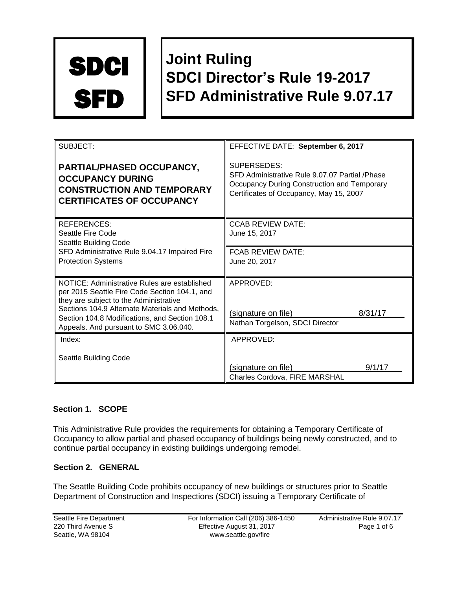

# **Joint Ruling SDCI Director's Rule 19-2017 SFD Administrative Rule 9.07.17**

| SUBJECT:                                                                                                                                    | EFFECTIVE DATE: September 6, 2017                                                                                                                       |
|---------------------------------------------------------------------------------------------------------------------------------------------|---------------------------------------------------------------------------------------------------------------------------------------------------------|
| PARTIAL/PHASED OCCUPANCY,<br><b>OCCUPANCY DURING</b><br><b>CONSTRUCTION AND TEMPORARY</b><br><b>CERTIFICATES OF OCCUPANCY</b>               | SUPERSEDES:<br>SFD Administrative Rule 9.07.07 Partial /Phase<br>Occupancy During Construction and Temporary<br>Certificates of Occupancy, May 15, 2007 |
| REFERENCES:<br>Seattle Fire Code<br>Seattle Building Code<br>SFD Administrative Rule 9.04.17 Impaired Fire<br><b>Protection Systems</b>     | <b>CCAB REVIEW DATE:</b><br>June 15, 2017                                                                                                               |
|                                                                                                                                             | <b>FCAB REVIEW DATE:</b><br>June 20, 2017                                                                                                               |
| NOTICE: Administrative Rules are established<br>per 2015 Seattle Fire Code Section 104.1, and<br>they are subject to the Administrative     | APPROVED:                                                                                                                                               |
| Sections 104.9 Alternate Materials and Methods,<br>Section 104.8 Modifications, and Section 108.1<br>Appeals. And pursuant to SMC 3.06.040. | (signature on file)<br>8/31/17<br>Nathan Torgelson, SDCI Director                                                                                       |
| Index:                                                                                                                                      | APPROVED:                                                                                                                                               |
| Seattle Building Code                                                                                                                       | 9/1/17<br>(signature on file)                                                                                                                           |
|                                                                                                                                             | Charles Cordova, FIRE MARSHAL                                                                                                                           |

# **Section 1. SCOPE**

This Administrative Rule provides the requirements for obtaining a Temporary Certificate of Occupancy to allow partial and phased occupancy of buildings being newly constructed, and to continue partial occupancy in existing buildings undergoing remodel.

## **Section 2. GENERAL**

The Seattle Building Code prohibits occupancy of new buildings or structures prior to Seattle Department of Construction and Inspections (SDCI) issuing a Temporary Certificate of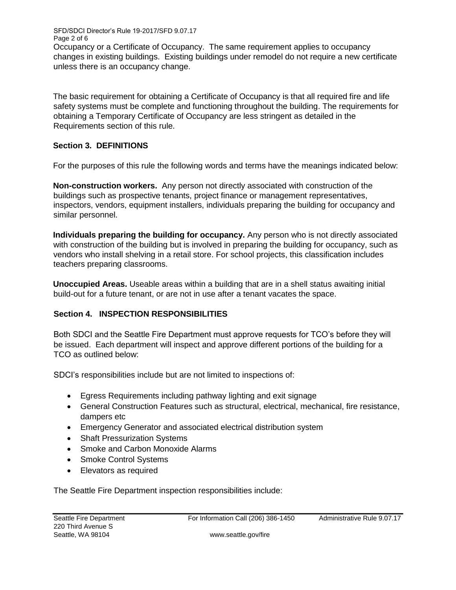Page 2 of 6 Occupancy or a Certificate of Occupancy. The same requirement applies to occupancy changes in existing buildings. Existing buildings under remodel do not require a new certificate unless there is an occupancy change.

The basic requirement for obtaining a Certificate of Occupancy is that all required fire and life safety systems must be complete and functioning throughout the building. The requirements for obtaining a Temporary Certificate of Occupancy are less stringent as detailed in the Requirements section of this rule.

## **Section 3. DEFINITIONS**

SFD/SDCI Director's Rule 19-2017/SFD 9.07.17

For the purposes of this rule the following words and terms have the meanings indicated below:

**Non-construction workers.** Any person not directly associated with construction of the buildings such as prospective tenants, project finance or management representatives, inspectors, vendors, equipment installers, individuals preparing the building for occupancy and similar personnel.

**Individuals preparing the building for occupancy.** Any person who is not directly associated with construction of the building but is involved in preparing the building for occupancy, such as vendors who install shelving in a retail store. For school projects, this classification includes teachers preparing classrooms.

**Unoccupied Areas.** Useable areas within a building that are in a shell status awaiting initial build-out for a future tenant, or are not in use after a tenant vacates the space.

## **Section 4. INSPECTION RESPONSIBILITIES**

Both SDCI and the Seattle Fire Department must approve requests for TCO's before they will be issued. Each department will inspect and approve different portions of the building for a TCO as outlined below:

SDCI's responsibilities include but are not limited to inspections of:

- Egress Requirements including pathway lighting and exit signage
- General Construction Features such as structural, electrical, mechanical, fire resistance, dampers etc
- Emergency Generator and associated electrical distribution system
- Shaft Pressurization Systems
- Smoke and Carbon Monoxide Alarms
- Smoke Control Systems
- Elevators as required

The Seattle Fire Department inspection responsibilities include: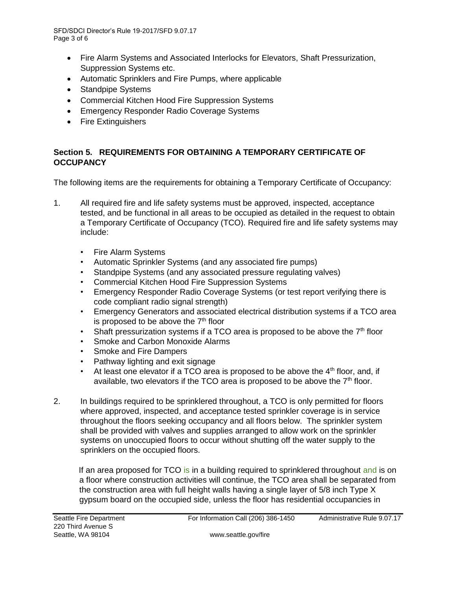SFD/SDCI Director's Rule 19-2017/SFD 9.07.17 Page 3 of 6

- Fire Alarm Systems and Associated Interlocks for Elevators, Shaft Pressurization, Suppression Systems etc.
- Automatic Sprinklers and Fire Pumps, where applicable
- Standpipe Systems
- Commercial Kitchen Hood Fire Suppression Systems
- Emergency Responder Radio Coverage Systems
- Fire Extinguishers

# **Section 5. REQUIREMENTS FOR OBTAINING A TEMPORARY CERTIFICATE OF OCCUPANCY**

The following items are the requirements for obtaining a Temporary Certificate of Occupancy:

- 1. All required fire and life safety systems must be approved, inspected, acceptance tested, and be functional in all areas to be occupied as detailed in the request to obtain a Temporary Certificate of Occupancy (TCO). Required fire and life safety systems may include:
	- Fire Alarm Systems
	- Automatic Sprinkler Systems (and any associated fire pumps)
	- Standpipe Systems (and any associated pressure regulating valves)
	- Commercial Kitchen Hood Fire Suppression Systems
	- Emergency Responder Radio Coverage Systems (or test report verifying there is code compliant radio signal strength)
	- Emergency Generators and associated electrical distribution systems if a TCO area is proposed to be above the  $7<sup>th</sup>$  floor
	- Shaft pressurization systems if a TCO area is proposed to be above the  $7<sup>th</sup>$  floor
	- Smoke and Carbon Monoxide Alarms
	- Smoke and Fire Dampers
	- Pathway lighting and exit signage
	- At least one elevator if a TCO area is proposed to be above the  $4<sup>th</sup>$  floor, and, if available, two elevators if the TCO area is proposed to be above the  $7<sup>th</sup>$  floor.
- 2. In buildings required to be sprinklered throughout, a TCO is only permitted for floors where approved, inspected, and acceptance tested sprinkler coverage is in service throughout the floors seeking occupancy and all floors below. The sprinkler system shall be provided with valves and supplies arranged to allow work on the sprinkler systems on unoccupied floors to occur without shutting off the water supply to the sprinklers on the occupied floors.

If an area proposed for TCO is in a building required to sprinklered throughout and is on a floor where construction activities will continue, the TCO area shall be separated from the construction area with full height walls having a single layer of 5/8 inch Type X gypsum board on the occupied side, unless the floor has residential occupancies in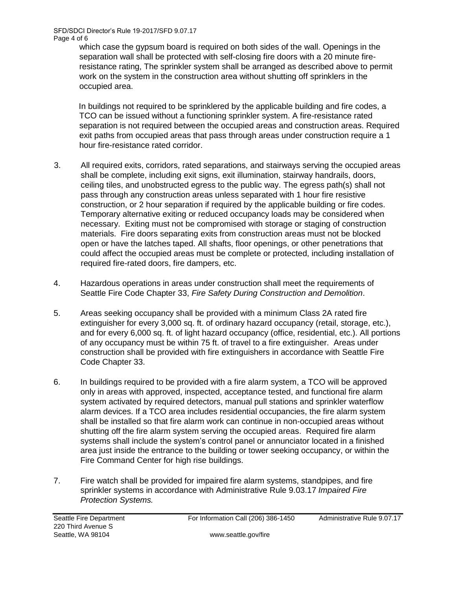SFD/SDCI Director's Rule 19-2017/SFD 9.07.17 Page 4 of 6

which case the gypsum board is required on both sides of the wall. Openings in the separation wall shall be protected with self-closing fire doors with a 20 minute fireresistance rating, The sprinkler system shall be arranged as described above to permit work on the system in the construction area without shutting off sprinklers in the occupied area.

In buildings not required to be sprinklered by the applicable building and fire codes, a TCO can be issued without a functioning sprinkler system. A fire-resistance rated separation is not required between the occupied areas and construction areas. Required exit paths from occupied areas that pass through areas under construction require a 1 hour fire-resistance rated corridor.

- 3. All required exits, corridors, rated separations, and stairways serving the occupied areas shall be complete, including exit signs, exit illumination, stairway handrails, doors, ceiling tiles, and unobstructed egress to the public way. The egress path(s) shall not pass through any construction areas unless separated with 1 hour fire resistive construction, or 2 hour separation if required by the applicable building or fire codes. Temporary alternative exiting or reduced occupancy loads may be considered when necessary. Exiting must not be compromised with storage or staging of construction materials. Fire doors separating exits from construction areas must not be blocked open or have the latches taped. All shafts, floor openings, or other penetrations that could affect the occupied areas must be complete or protected, including installation of required fire-rated doors, fire dampers, etc.
- 4. Hazardous operations in areas under construction shall meet the requirements of Seattle Fire Code Chapter 33, *Fire Safety During Construction and Demolition*.
- 5. Areas seeking occupancy shall be provided with a minimum Class 2A rated fire extinguisher for every 3,000 sq. ft. of ordinary hazard occupancy (retail, storage, etc.), and for every 6,000 sq. ft. of light hazard occupancy (office, residential, etc.). All portions of any occupancy must be within 75 ft. of travel to a fire extinguisher. Areas under construction shall be provided with fire extinguishers in accordance with Seattle Fire Code Chapter 33.
- 6. In buildings required to be provided with a fire alarm system, a TCO will be approved only in areas with approved, inspected, acceptance tested, and functional fire alarm system activated by required detectors, manual pull stations and sprinkler waterflow alarm devices. If a TCO area includes residential occupancies, the fire alarm system shall be installed so that fire alarm work can continue in non-occupied areas without shutting off the fire alarm system serving the occupied areas. Required fire alarm systems shall include the system's control panel or annunciator located in a finished area just inside the entrance to the building or tower seeking occupancy, or within the Fire Command Center for high rise buildings.
- 7. Fire watch shall be provided for impaired fire alarm systems, standpipes, and fire sprinkler systems in accordance with Administrative Rule 9.03.17 *Impaired Fire Protection Systems.*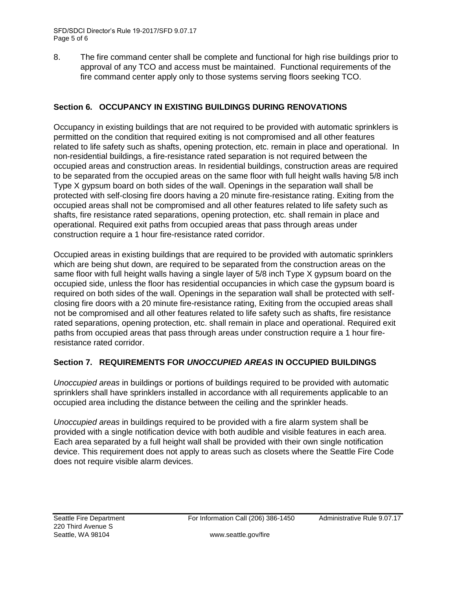8. The fire command center shall be complete and functional for high rise buildings prior to approval of any TCO and access must be maintained. Functional requirements of the fire command center apply only to those systems serving floors seeking TCO.

# **Section 6. OCCUPANCY IN EXISTING BUILDINGS DURING RENOVATIONS**

Occupancy in existing buildings that are not required to be provided with automatic sprinklers is permitted on the condition that required exiting is not compromised and all other features related to life safety such as shafts, opening protection, etc. remain in place and operational. In non-residential buildings, a fire-resistance rated separation is not required between the occupied areas and construction areas. In residential buildings, construction areas are required to be separated from the occupied areas on the same floor with full height walls having 5/8 inch Type X gypsum board on both sides of the wall. Openings in the separation wall shall be protected with self-closing fire doors having a 20 minute fire-resistance rating. Exiting from the occupied areas shall not be compromised and all other features related to life safety such as shafts, fire resistance rated separations, opening protection, etc. shall remain in place and operational. Required exit paths from occupied areas that pass through areas under construction require a 1 hour fire-resistance rated corridor.

Occupied areas in existing buildings that are required to be provided with automatic sprinklers which are being shut down, are required to be separated from the construction areas on the same floor with full height walls having a single layer of 5/8 inch Type X gypsum board on the occupied side, unless the floor has residential occupancies in which case the gypsum board is required on both sides of the wall. Openings in the separation wall shall be protected with selfclosing fire doors with a 20 minute fire-resistance rating, Exiting from the occupied areas shall not be compromised and all other features related to life safety such as shafts, fire resistance rated separations, opening protection, etc. shall remain in place and operational. Required exit paths from occupied areas that pass through areas under construction require a 1 hour fireresistance rated corridor.

# **Section 7. REQUIREMENTS FOR** *UNOCCUPIED AREAS* **IN OCCUPIED BUILDINGS**

*Unoccupied areas* in buildings or portions of buildings required to be provided with automatic sprinklers shall have sprinklers installed in accordance with all requirements applicable to an occupied area including the distance between the ceiling and the sprinkler heads.

*Unoccupied areas* in buildings required to be provided with a fire alarm system shall be provided with a single notification device with both audible and visible features in each area. Each area separated by a full height wall shall be provided with their own single notification device. This requirement does not apply to areas such as closets where the Seattle Fire Code does not require visible alarm devices.